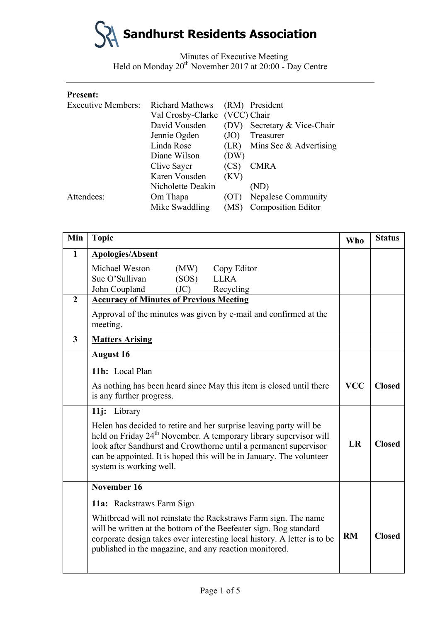

| <b>Present:</b>           |                        |             |                           |
|---------------------------|------------------------|-------------|---------------------------|
| <b>Executive Members:</b> | <b>Richard Mathews</b> |             | (RM) President            |
|                           | Val Crosby-Clarke      | (VCC) Chair |                           |
|                           | David Vousden          | (DV)        | Secretary & Vice-Chair    |
|                           | Jennie Ogden           | (JO)        | Treasurer                 |
|                           | Linda Rose             | (LR)        | Mins Sec $\&$ Advertising |
|                           | Diane Wilson           | (DW)        |                           |
|                           | Clive Sayer            | (CS)        | <b>CMRA</b>               |
|                           | Karen Vousden          | (KV)        |                           |
|                           | Nicholette Deakin      |             | (ND)                      |
| Attendees:                | Om Thapa               | (UT)        | <b>Nepalese Community</b> |
|                           | Mike Swaddling         | (MS)        | <b>Composition Editor</b> |
|                           |                        |             |                           |

| Min            | <b>Topic</b>                                                                                                                                                                                                                                                                                                               | <b>Who</b> | <b>Status</b> |
|----------------|----------------------------------------------------------------------------------------------------------------------------------------------------------------------------------------------------------------------------------------------------------------------------------------------------------------------------|------------|---------------|
| $\mathbf{1}$   | <b>Apologies/Absent</b>                                                                                                                                                                                                                                                                                                    |            |               |
|                | Michael Weston<br>(MW)<br>Copy Editor                                                                                                                                                                                                                                                                                      |            |               |
|                | Sue O'Sullivan<br><b>LLRA</b><br>(SOS)                                                                                                                                                                                                                                                                                     |            |               |
| $\overline{2}$ | John Coupland<br>(JC)<br>Recycling<br><b>Accuracy of Minutes of Previous Meeting</b>                                                                                                                                                                                                                                       |            |               |
|                | Approval of the minutes was given by e-mail and confirmed at the<br>meeting.                                                                                                                                                                                                                                               |            |               |
| $\mathbf{3}$   | <b>Matters Arising</b>                                                                                                                                                                                                                                                                                                     |            |               |
|                | <b>August 16</b>                                                                                                                                                                                                                                                                                                           |            |               |
|                | 11h: Local Plan                                                                                                                                                                                                                                                                                                            |            |               |
|                | As nothing has been heard since May this item is closed until there<br>is any further progress.                                                                                                                                                                                                                            | <b>VCC</b> | <b>Closed</b> |
|                | 11j: Library                                                                                                                                                                                                                                                                                                               |            |               |
|                | Helen has decided to retire and her surprise leaving party will be<br>held on Friday 24 <sup>th</sup> November. A temporary library supervisor will<br>look after Sandhurst and Crowthorne until a permanent supervisor<br>can be appointed. It is hoped this will be in January. The volunteer<br>system is working well. | LR         | <b>Closed</b> |
|                | November 16                                                                                                                                                                                                                                                                                                                |            |               |
|                | 11a: Rackstraws Farm Sign                                                                                                                                                                                                                                                                                                  |            |               |
|                | Whitbread will not reinstate the Rackstraws Farm sign. The name<br>will be written at the bottom of the Beefeater sign. Bog standard<br>corporate design takes over interesting local history. A letter is to be<br>published in the magazine, and any reaction monitored.                                                 | <b>RM</b>  | <b>Closed</b> |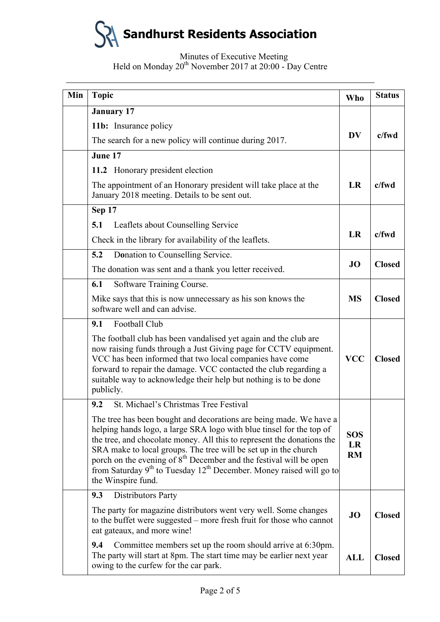# **Sandhurst Residents Association**

| Min | <b>Topic</b>                                                                                                                                                                                                                                                                                                                                                                                                                                                                         | <b>Who</b>                    | <b>Status</b> |
|-----|--------------------------------------------------------------------------------------------------------------------------------------------------------------------------------------------------------------------------------------------------------------------------------------------------------------------------------------------------------------------------------------------------------------------------------------------------------------------------------------|-------------------------------|---------------|
|     | <b>January 17</b>                                                                                                                                                                                                                                                                                                                                                                                                                                                                    |                               |               |
|     | 11b: Insurance policy                                                                                                                                                                                                                                                                                                                                                                                                                                                                |                               |               |
|     | The search for a new policy will continue during 2017.                                                                                                                                                                                                                                                                                                                                                                                                                               | <b>DV</b>                     | $c$ /fwd      |
|     | June 17                                                                                                                                                                                                                                                                                                                                                                                                                                                                              |                               |               |
|     | 11.2 Honorary president election                                                                                                                                                                                                                                                                                                                                                                                                                                                     |                               |               |
|     | The appointment of an Honorary president will take place at the<br>January 2018 meeting. Details to be sent out.                                                                                                                                                                                                                                                                                                                                                                     | LR                            | $c$ /fwd      |
|     | Sep 17                                                                                                                                                                                                                                                                                                                                                                                                                                                                               |                               |               |
|     | 5.1<br>Leaflets about Counselling Service                                                                                                                                                                                                                                                                                                                                                                                                                                            |                               |               |
|     | Check in the library for availability of the leaflets.                                                                                                                                                                                                                                                                                                                                                                                                                               | <b>LR</b>                     | $c$ /fwd      |
|     | 5.2<br>Donation to Counselling Service.                                                                                                                                                                                                                                                                                                                                                                                                                                              |                               |               |
|     | The donation was sent and a thank you letter received.                                                                                                                                                                                                                                                                                                                                                                                                                               | <b>JO</b>                     | <b>Closed</b> |
|     | Software Training Course.<br>6.1                                                                                                                                                                                                                                                                                                                                                                                                                                                     |                               |               |
|     | Mike says that this is now unnecessary as his son knows the<br>software well and can advise.                                                                                                                                                                                                                                                                                                                                                                                         | <b>MS</b>                     | <b>Closed</b> |
|     | Football Club<br>9.1                                                                                                                                                                                                                                                                                                                                                                                                                                                                 |                               |               |
|     | The football club has been vandalised yet again and the club are<br>now raising funds through a Just Giving page for CCTV equipment.<br>VCC has been informed that two local companies have come<br>forward to repair the damage. VCC contacted the club regarding a<br>suitable way to acknowledge their help but nothing is to be done<br>publicly.                                                                                                                                | <b>VCC</b>                    | <b>Closed</b> |
|     | St. Michael's Christmas Tree Festival<br>9.2                                                                                                                                                                                                                                                                                                                                                                                                                                         |                               |               |
|     | The tree has been bought and decorations are being made. We have a<br>helping hands logo, a large SRA logo with blue tinsel for the top of<br>the tree, and chocolate money. All this to represent the donations the<br>SRA make to local groups. The tree will be set up in the church<br>porch on the evening of 8 <sup>th</sup> December and the festival will be open<br>from Saturday $9th$ to Tuesday 12 <sup>th</sup> December. Money raised will go to<br>the Winspire fund. | <b>SOS</b><br>LR<br><b>RM</b> |               |
|     | Distributors Party<br>9.3                                                                                                                                                                                                                                                                                                                                                                                                                                                            |                               |               |
|     | The party for magazine distributors went very well. Some changes<br>to the buffet were suggested – more fresh fruit for those who cannot<br>eat gateaux, and more wine!                                                                                                                                                                                                                                                                                                              | JO                            | <b>Closed</b> |
|     | Committee members set up the room should arrive at 6:30pm.<br>9.4<br>The party will start at 8pm. The start time may be earlier next year<br>owing to the curfew for the car park.                                                                                                                                                                                                                                                                                                   | <b>ALL</b>                    | <b>Closed</b> |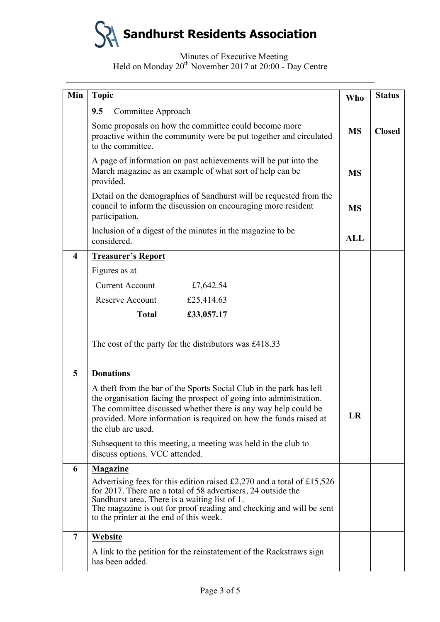

| Min                     | <b>Topic</b>                                                                                                                                                                                                                                                                                                                             | Who        | <b>Status</b> |
|-------------------------|------------------------------------------------------------------------------------------------------------------------------------------------------------------------------------------------------------------------------------------------------------------------------------------------------------------------------------------|------------|---------------|
|                         | 9.5<br>Committee Approach                                                                                                                                                                                                                                                                                                                |            |               |
|                         | Some proposals on how the committee could become more<br>proactive within the community were be put together and circulated<br>to the committee.                                                                                                                                                                                         |            | <b>Closed</b> |
|                         | A page of information on past achievements will be put into the<br>March magazine as an example of what sort of help can be<br>provided.                                                                                                                                                                                                 |            |               |
|                         | Detail on the demographics of Sandhurst will be requested from the<br>council to inform the discussion on encouraging more resident<br>participation.                                                                                                                                                                                    | <b>MS</b>  |               |
|                         | Inclusion of a digest of the minutes in the magazine to be<br>considered.                                                                                                                                                                                                                                                                | <b>ALL</b> |               |
| $\overline{\mathbf{4}}$ | <b>Treasurer's Report</b>                                                                                                                                                                                                                                                                                                                |            |               |
|                         | Figures as at                                                                                                                                                                                                                                                                                                                            |            |               |
|                         | <b>Current Account</b><br>£7,642.54                                                                                                                                                                                                                                                                                                      |            |               |
|                         | Reserve Account<br>£25,414.63                                                                                                                                                                                                                                                                                                            |            |               |
|                         | <b>Total</b><br>£33,057.17                                                                                                                                                                                                                                                                                                               |            |               |
|                         | The cost of the party for the distributors was £418.33                                                                                                                                                                                                                                                                                   |            |               |
| 5                       | <b>Donations</b>                                                                                                                                                                                                                                                                                                                         |            |               |
|                         | A theft from the bar of the Sports Social Club in the park has left<br>the organisation facing the prospect of going into administration.<br>The committee discussed whether there is any way help could be<br>provided. More information is required on how the funds raised at<br>the club are used.                                   |            |               |
|                         | Subsequent to this meeting, a meeting was held in the club to<br>discuss options. VCC attended.                                                                                                                                                                                                                                          |            |               |
| 6                       | <b>Magazine</b>                                                                                                                                                                                                                                                                                                                          |            |               |
|                         | Advertising fees for this edition raised $\text{\pounds}2,270$ and a total of $\text{\pounds}15,526$<br>for 2017. There are a total of 58 advertisers, 24 outside the<br>Sandhurst area. There is a waiting list of 1.<br>The magazine is out for proof reading and checking and will be sent<br>to the printer at the end of this week. |            |               |
| $\overline{7}$          | Website                                                                                                                                                                                                                                                                                                                                  |            |               |
|                         | A link to the petition for the reinstatement of the Rackstraws sign<br>has been added.                                                                                                                                                                                                                                                   |            |               |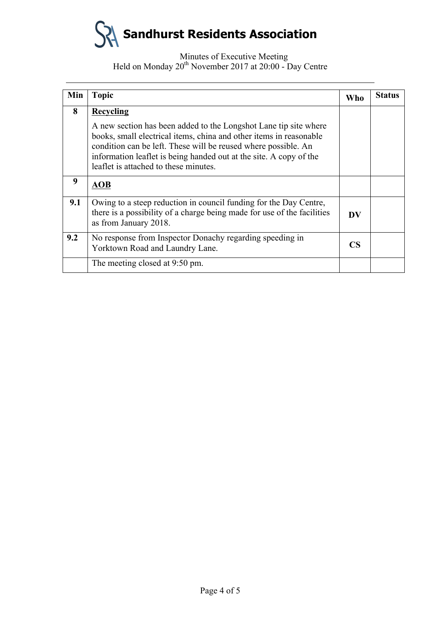

| Min | <b>Topic</b>                                                                                                                                                                                                                                                                                                                                | Who             | <b>Status</b> |
|-----|---------------------------------------------------------------------------------------------------------------------------------------------------------------------------------------------------------------------------------------------------------------------------------------------------------------------------------------------|-----------------|---------------|
| 8   | <b>Recycling</b><br>A new section has been added to the Longshot Lane tip site where<br>books, small electrical items, china and other items in reasonable<br>condition can be left. These will be reused where possible. An<br>information leaflet is being handed out at the site. A copy of the<br>leaflet is attached to these minutes. |                 |               |
| 9   | <b>AOB</b>                                                                                                                                                                                                                                                                                                                                  |                 |               |
| 9.1 | Owing to a steep reduction in council funding for the Day Centre,<br>there is a possibility of a charge being made for use of the facilities<br>as from January 2018.                                                                                                                                                                       | DV              |               |
| 9.2 | No response from Inspector Donachy regarding speeding in<br>Yorktown Road and Laundry Lane.                                                                                                                                                                                                                                                 | CS <sup>-</sup> |               |
|     | The meeting closed at 9:50 pm.                                                                                                                                                                                                                                                                                                              |                 |               |